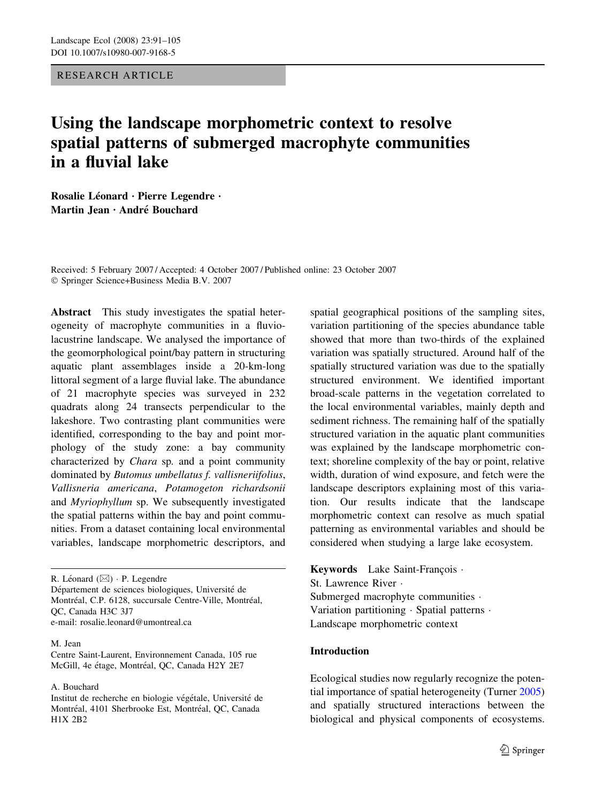RESEARCH ARTICLE

# Using the landscape morphometric context to resolve spatial patterns of submerged macrophyte communities in a fluvial lake

Rosalie Léonard · Pierre Legendre · Martin Jean · André Bouchard

Received: 5 February 2007 / Accepted: 4 October 2007 / Published online: 23 October 2007 Springer Science+Business Media B.V. 2007

Abstract This study investigates the spatial heterogeneity of macrophyte communities in a fluviolacustrine landscape. We analysed the importance of the geomorphological point/bay pattern in structuring aquatic plant assemblages inside a 20-km-long littoral segment of a large fluvial lake. The abundance of 21 macrophyte species was surveyed in 232 quadrats along 24 transects perpendicular to the lakeshore. Two contrasting plant communities were identified, corresponding to the bay and point morphology of the study zone: a bay community characterized by Chara sp. and a point community dominated by Butomus umbellatus f. vallisneriifolius, Vallisneria americana, Potamogeton richardsonii and Myriophyllum sp. We subsequently investigated the spatial patterns within the bay and point communities. From a dataset containing local environmental variables, landscape morphometric descriptors, and

R. Léonard  $(\boxtimes)$  · P. Legendre Département de sciences biologiques, Université de Montréal, C.P. 6128, succursale Centre-Ville, Montréal, QC, Canada H3C 3J7 e-mail: rosalie.leonard@umontreal.ca

#### M. Jean

Centre Saint-Laurent, Environnement Canada, 105 rue McGill, 4e étage, Montréal, OC, Canada H2Y 2E7

A. Bouchard

spatial geographical positions of the sampling sites, variation partitioning of the species abundance table showed that more than two-thirds of the explained variation was spatially structured. Around half of the spatially structured variation was due to the spatially structured environment. We identified important broad-scale patterns in the vegetation correlated to the local environmental variables, mainly depth and sediment richness. The remaining half of the spatially structured variation in the aquatic plant communities was explained by the landscape morphometric context; shoreline complexity of the bay or point, relative width, duration of wind exposure, and fetch were the landscape descriptors explaining most of this variation. Our results indicate that the landscape morphometric context can resolve as much spatial patterning as environmental variables and should be considered when studying a large lake ecosystem.

Keywords Lake Saint-François  $\cdot$ St. Lawrence River Submerged macrophyte communities  $\cdot$ Variation partitioning · Spatial patterns · Landscape morphometric context

# Introduction

Ecological studies now regularly recognize the potential importance of spatial heterogeneity (Turner [2005\)](#page-14-0) and spatially structured interactions between the biological and physical components of ecosystems.

Institut de recherche en biologie végétale, Université de Montréal, 4101 Sherbrooke Est, Montréal, QC, Canada H1X 2B2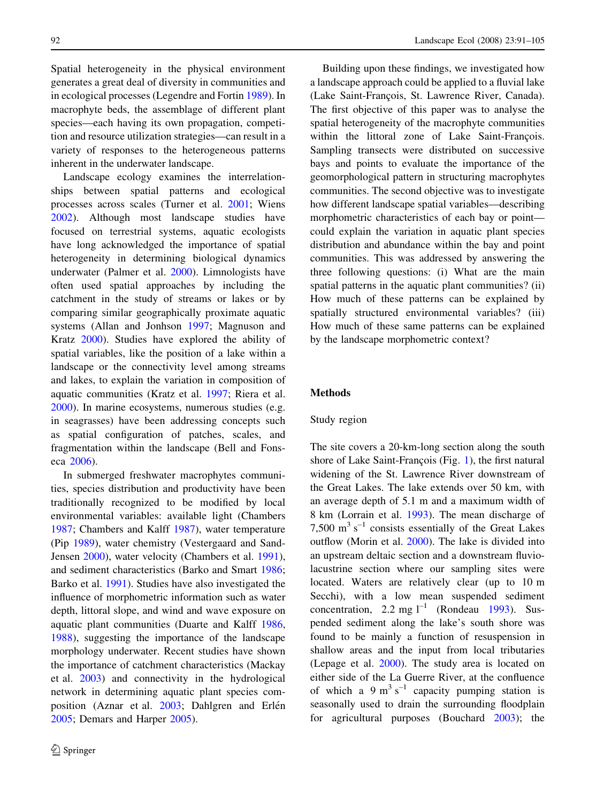Spatial heterogeneity in the physical environment generates a great deal of diversity in communities and in ecological processes (Legendre and Fortin [1989](#page-13-0)). In macrophyte beds, the assemblage of different plant species—each having its own propagation, competition and resource utilization strategies—can result in a variety of responses to the heterogeneous patterns inherent in the underwater landscape.

Landscape ecology examines the interrelationships between spatial patterns and ecological processes across scales (Turner et al. [2001](#page-14-0); Wiens [2002\)](#page-14-0). Although most landscape studies have focused on terrestrial systems, aquatic ecologists have long acknowledged the importance of spatial heterogeneity in determining biological dynamics underwater (Palmer et al. [2000\)](#page-14-0). Limnologists have often used spatial approaches by including the catchment in the study of streams or lakes or by comparing similar geographically proximate aquatic systems (Allan and Jonhson [1997](#page-12-0); Magnuson and Kratz [2000](#page-13-0)). Studies have explored the ability of spatial variables, like the position of a lake within a landscape or the connectivity level among streams and lakes, to explain the variation in composition of aquatic communities (Kratz et al. [1997](#page-13-0); Riera et al. [2000\)](#page-14-0). In marine ecosystems, numerous studies (e.g. in seagrasses) have been addressing concepts such as spatial configuration of patches, scales, and fragmentation within the landscape (Bell and Fonseca [2006](#page-12-0)).

In submerged freshwater macrophytes communities, species distribution and productivity have been traditionally recognized to be modified by local environmental variables: available light (Chambers [1987;](#page-13-0) Chambers and Kalff [1987](#page-13-0)), water temperature (Pip [1989](#page-14-0)), water chemistry (Vestergaard and Sand-Jensen [2000](#page-14-0)), water velocity (Chambers et al. [1991](#page-13-0)), and sediment characteristics (Barko and Smart [1986](#page-12-0); Barko et al. [1991\)](#page-12-0). Studies have also investigated the influence of morphometric information such as water depth, littoral slope, and wind and wave exposure on aquatic plant communities (Duarte and Kalff [1986,](#page-13-0) [1988\)](#page-13-0), suggesting the importance of the landscape morphology underwater. Recent studies have shown the importance of catchment characteristics (Mackay et al. [2003](#page-13-0)) and connectivity in the hydrological network in determining aquatic plant species com-position (Aznar et al. [2003;](#page-12-0) Dahlgren and Erlén [2005;](#page-13-0) Demars and Harper [2005](#page-13-0)).

Building upon these findings, we investigated how a landscape approach could be applied to a fluvial lake (Lake Saint-François, St. Lawrence River, Canada). The first objective of this paper was to analyse the spatial heterogeneity of the macrophyte communities within the littoral zone of Lake Saint-François. Sampling transects were distributed on successive bays and points to evaluate the importance of the geomorphological pattern in structuring macrophytes communities. The second objective was to investigate how different landscape spatial variables—describing morphometric characteristics of each bay or point could explain the variation in aquatic plant species distribution and abundance within the bay and point communities. This was addressed by answering the three following questions: (i) What are the main spatial patterns in the aquatic plant communities? (ii) How much of these patterns can be explained by spatially structured environmental variables? (iii) How much of these same patterns can be explained by the landscape morphometric context?

# Methods

#### Study region

The site covers a 20-km-long section along the south shore of Lake Saint-François (Fig. [1](#page-2-0)), the first natural widening of the St. Lawrence River downstream of the Great Lakes. The lake extends over 50 km, with an average depth of 5.1 m and a maximum width of 8 km (Lorrain et al. [1993](#page-13-0)). The mean discharge of 7,500  $\text{m}^3$  s<sup>-1</sup> consists essentially of the Great Lakes outflow (Morin et al. [2000\)](#page-14-0). The lake is divided into an upstream deltaic section and a downstream fluviolacustrine section where our sampling sites were located. Waters are relatively clear (up to 10 m Secchi), with a low mean suspended sediment concentration, 2.2 mg  $l^{-1}$  (Rondeau [1993](#page-14-0)). Suspended sediment along the lake's south shore was found to be mainly a function of resuspension in shallow areas and the input from local tributaries (Lepage et al. [2000](#page-13-0)). The study area is located on either side of the La Guerre River, at the confluence of which a 9 m<sup>3</sup> s<sup>-1</sup> capacity pumping station is seasonally used to drain the surrounding floodplain for agricultural purposes (Bouchard [2003\)](#page-13-0); the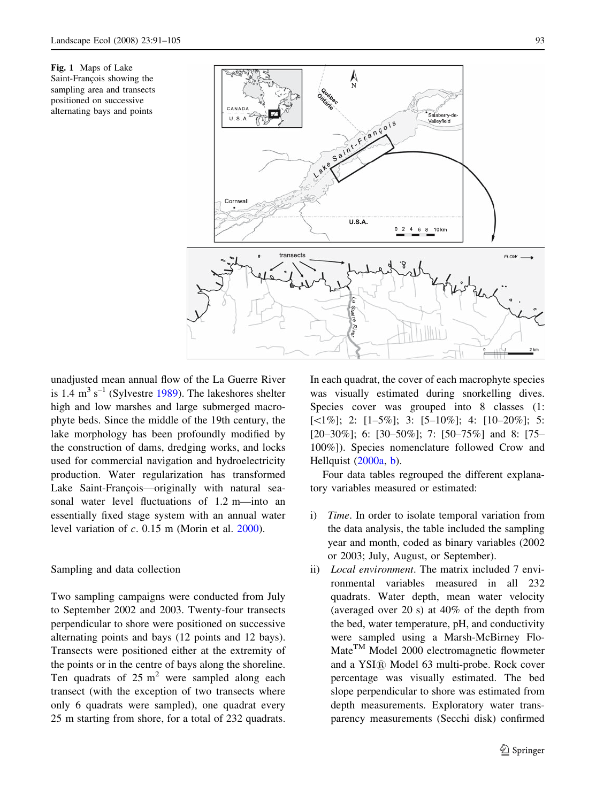<span id="page-2-0"></span>Fig. 1 Maps of Lake Saint-François showing the sampling area and transects positioned on successive alternating bays and points



unadjusted mean annual flow of the La Guerre River is 1.4  $m^3$  s<sup>-1</sup> (Sylvestre [1989\)](#page-14-0). The lakeshores shelter high and low marshes and large submerged macrophyte beds. Since the middle of the 19th century, the lake morphology has been profoundly modified by the construction of dams, dredging works, and locks used for commercial navigation and hydroelectricity production. Water regularization has transformed Lake Saint-François—originally with natural seasonal water level fluctuations of 1.2 m—into an essentially fixed stage system with an annual water level variation of  $c$ . 0.15 m (Morin et al.  $2000$ ).

# Sampling and data collection

Two sampling campaigns were conducted from July to September 2002 and 2003. Twenty-four transects perpendicular to shore were positioned on successive alternating points and bays (12 points and 12 bays). Transects were positioned either at the extremity of the points or in the centre of bays along the shoreline. Ten quadrats of  $25 \text{ m}^2$  were sampled along each transect (with the exception of two transects where only 6 quadrats were sampled), one quadrat every 25 m starting from shore, for a total of 232 quadrats.

In each quadrat, the cover of each macrophyte species was visually estimated during snorkelling dives. Species cover was grouped into 8 classes (1:  $[\leq 1\%]$ ; 2:  $[1-5\%]$ ; 3:  $[5-10\%]$ ; 4:  $[10-20\%]$ ; 5: [20–30%]; 6: [30–50%]; 7: [50–75%] and 8: [75– 100%]). Species nomenclature followed Crow and Hellquist [\(2000a,](#page-13-0) [b](#page-13-0)).

Four data tables regrouped the different explanatory variables measured or estimated:

- i) Time. In order to isolate temporal variation from the data analysis, the table included the sampling year and month, coded as binary variables (2002 or 2003; July, August, or September).
- ii) *Local environment*. The matrix included 7 environmental variables measured in all 232 quadrats. Water depth, mean water velocity (averaged over 20 s) at 40% of the depth from the bed, water temperature, pH, and conductivity were sampled using a Marsh-McBirney Flo-Mate<sup>TM</sup> Model 2000 electromagnetic flowmeter and a YSI<sup>(R)</sup> Model 63 multi-probe. Rock cover percentage was visually estimated. The bed slope perpendicular to shore was estimated from depth measurements. Exploratory water transparency measurements (Secchi disk) confirmed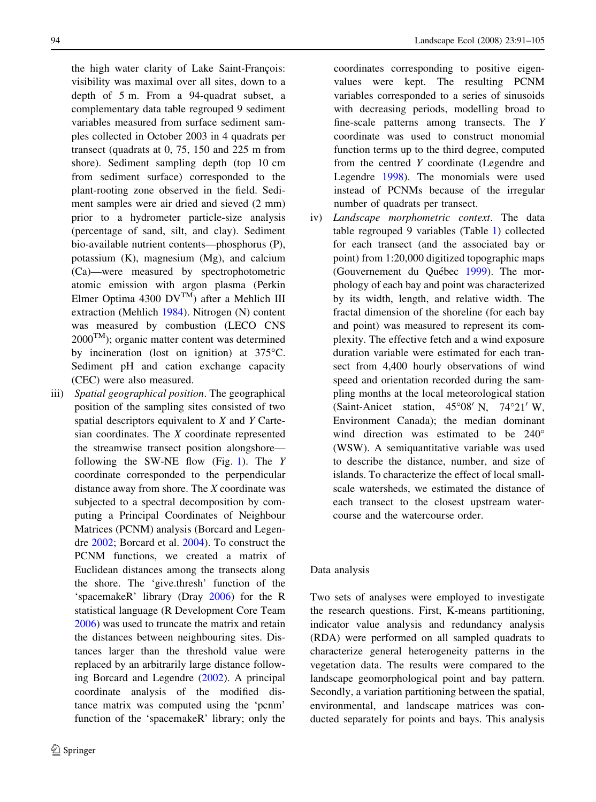the high water clarity of Lake Saint-François: visibility was maximal over all sites, down to a depth of 5 m. From a 94-quadrat subset, a complementary data table regrouped 9 sediment variables measured from surface sediment samples collected in October 2003 in 4 quadrats per transect (quadrats at 0, 75, 150 and 225 m from shore). Sediment sampling depth (top 10 cm from sediment surface) corresponded to the plant-rooting zone observed in the field. Sediment samples were air dried and sieved (2 mm) prior to a hydrometer particle-size analysis (percentage of sand, silt, and clay). Sediment bio-available nutrient contents—phosphorus (P), potassium (K), magnesium (Mg), and calcium (Ca)—were measured by spectrophotometric atomic emission with argon plasma (Perkin Elmer Optima 4300  $DV^{TM}$ ) after a Mehlich III extraction (Mehlich [1984](#page-13-0)). Nitrogen (N) content was measured by combustion (LECO CNS  $2000^{\text{TM}}$ ); organic matter content was determined by incineration (lost on ignition) at  $375^{\circ}$ C. Sediment pH and cation exchange capacity (CEC) were also measured.

iii) Spatial geographical position. The geographical position of the sampling sites consisted of two spatial descriptors equivalent to X and Y Cartesian coordinates. The X coordinate represented the streamwise transect position alongshore— following the SW-NE flow (Fig. [1](#page-2-0)). The  $Y$ coordinate corresponded to the perpendicular distance away from shore. The X coordinate was subjected to a spectral decomposition by computing a Principal Coordinates of Neighbour Matrices (PCNM) analysis (Borcard and Legendre [2002](#page-13-0); Borcard et al. [2004\)](#page-13-0). To construct the PCNM functions, we created a matrix of Euclidean distances among the transects along the shore. The 'give.thresh' function of the 'spacemakeR' library (Dray [2006](#page-13-0)) for the R statistical language (R Development Core Team [2006](#page-14-0)) was used to truncate the matrix and retain the distances between neighbouring sites. Distances larger than the threshold value were replaced by an arbitrarily large distance following Borcard and Legendre [\(2002](#page-13-0)). A principal coordinate analysis of the modified distance matrix was computed using the 'pcnm' function of the 'spacemakeR' library; only the

coordinates corresponding to positive eigenvalues were kept. The resulting PCNM variables corresponded to a series of sinusoids with decreasing periods, modelling broad to fine-scale patterns among transects. The Y coordinate was used to construct monomial function terms up to the third degree, computed from the centred Y coordinate (Legendre and Legendre [1998\)](#page-13-0). The monomials were used instead of PCNMs because of the irregular number of quadrats per transect.

iv) Landscape morphometric context. The data table regrouped 9 variables (Table [1\)](#page-4-0) collected for each transect (and the associated bay or point) from 1:20,000 digitized topographic maps (Gouvernement du Québec [1999](#page-13-0)). The morphology of each bay and point was characterized by its width, length, and relative width. The fractal dimension of the shoreline (for each bay and point) was measured to represent its complexity. The effective fetch and a wind exposure duration variable were estimated for each transect from 4,400 hourly observations of wind speed and orientation recorded during the sampling months at the local meteorological station (Saint-Anicet station,  $45^{\circ}08'$  N,  $74^{\circ}21'$  W, Environment Canada); the median dominant wind direction was estimated to be  $240^{\circ}$ (WSW). A semiquantitative variable was used to describe the distance, number, and size of islands. To characterize the effect of local smallscale watersheds, we estimated the distance of each transect to the closest upstream watercourse and the watercourse order.

# Data analysis

Two sets of analyses were employed to investigate the research questions. First, K-means partitioning, indicator value analysis and redundancy analysis (RDA) were performed on all sampled quadrats to characterize general heterogeneity patterns in the vegetation data. The results were compared to the landscape geomorphological point and bay pattern. Secondly, a variation partitioning between the spatial, environmental, and landscape matrices was conducted separately for points and bays. This analysis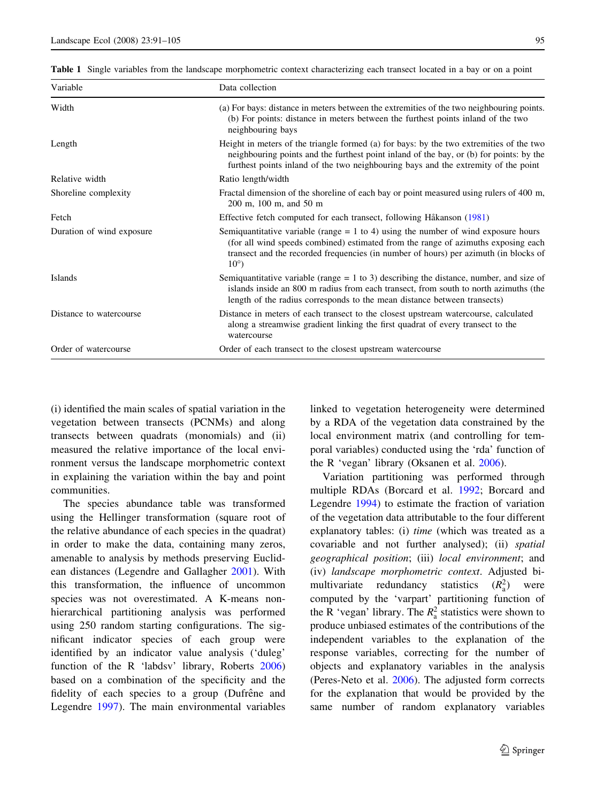<span id="page-4-0"></span>Table 1 Single variables from the landscape morphometric context characterizing each transect located in a bay or on a point

| Variable                  | Data collection                                                                                                                                                                                                                                                                   |  |
|---------------------------|-----------------------------------------------------------------------------------------------------------------------------------------------------------------------------------------------------------------------------------------------------------------------------------|--|
| Width                     | (a) For bays: distance in meters between the extremities of the two neighbouring points.<br>(b) For points: distance in meters between the furthest points inland of the two<br>neighbouring bays                                                                                 |  |
| Length                    | Height in meters of the triangle formed (a) for bays: by the two extremities of the two<br>neighbouring points and the furthest point inland of the bay, or (b) for points: by the<br>furthest points inland of the two neighbouring bays and the extremity of the point          |  |
| Relative width            | Ratio length/width                                                                                                                                                                                                                                                                |  |
| Shoreline complexity      | Fractal dimension of the shoreline of each bay or point measured using rulers of 400 m,<br>200 m, 100 m, and 50 m                                                                                                                                                                 |  |
| Fetch                     | Effective fetch computed for each transect, following Håkanson (1981)                                                                                                                                                                                                             |  |
| Duration of wind exposure | Semiquantitative variable (range $= 1$ to 4) using the number of wind exposure hours<br>(for all wind speeds combined) estimated from the range of azimuths exposing each<br>transect and the recorded frequencies (in number of hours) per azimuth (in blocks of<br>$10^{\circ}$ |  |
| Islands                   | Semiquantitative variable (range $= 1$ to 3) describing the distance, number, and size of<br>islands inside an 800 m radius from each transect, from south to north azimuths (the<br>length of the radius corresponds to the mean distance between transects)                     |  |
| Distance to watercourse   | Distance in meters of each transect to the closest upstream watercourse, calculated<br>along a streamwise gradient linking the first quadrat of every transect to the<br>watercourse                                                                                              |  |
| Order of watercourse      | Order of each transect to the closest upstream watercourse                                                                                                                                                                                                                        |  |

(i) identified the main scales of spatial variation in the vegetation between transects (PCNMs) and along transects between quadrats (monomials) and (ii) measured the relative importance of the local environment versus the landscape morphometric context in explaining the variation within the bay and point communities.

The species abundance table was transformed using the Hellinger transformation (square root of the relative abundance of each species in the quadrat) in order to make the data, containing many zeros, amenable to analysis by methods preserving Euclidean distances (Legendre and Gallagher [2001](#page-13-0)). With this transformation, the influence of uncommon species was not overestimated. A K-means nonhierarchical partitioning analysis was performed using 250 random starting configurations. The significant indicator species of each group were identified by an indicator value analysis ('duleg' function of the R 'labdsv' library, Roberts [2006\)](#page-14-0) based on a combination of the specificity and the fidelity of each species to a group (Dufrêne and Legendre [1997\)](#page-13-0). The main environmental variables

linked to vegetation heterogeneity were determined by a RDA of the vegetation data constrained by the local environment matrix (and controlling for temporal variables) conducted using the 'rda' function of the R 'vegan' library (Oksanen et al. [2006\)](#page-14-0).

Variation partitioning was performed through multiple RDAs (Borcard et al. [1992;](#page-13-0) Borcard and Legendre [1994](#page-13-0)) to estimate the fraction of variation of the vegetation data attributable to the four different explanatory tables: (i) time (which was treated as a covariable and not further analysed); (ii) spatial geographical position; (iii) local environment; and (iv) landscape morphometric context. Adjusted bimultivariate redundancy statistics  $(R_a^2)$  were computed by the 'varpart' partitioning function of the R 'vegan' library. The  $R_a^2$  statistics were shown to produce unbiased estimates of the contributions of the independent variables to the explanation of the response variables, correcting for the number of objects and explanatory variables in the analysis (Peres-Neto et al. [2006](#page-14-0)). The adjusted form corrects for the explanation that would be provided by the same number of random explanatory variables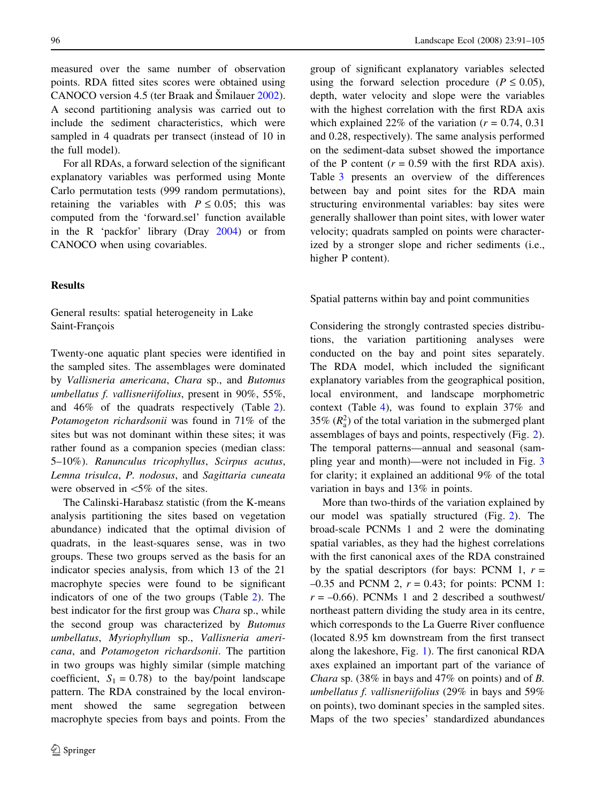measured over the same number of observation points. RDA fitted sites scores were obtained using CANOCO version 4.5 (ter Braak and Šmilauer [2002](#page-14-0)). A second partitioning analysis was carried out to include the sediment characteristics, which were sampled in 4 quadrats per transect (instead of 10 in the full model).

For all RDAs, a forward selection of the significant explanatory variables was performed using Monte Carlo permutation tests (999 random permutations), retaining the variables with  $P \le 0.05$ ; this was computed from the 'forward.sel' function available in the R 'packfor' library (Dray [2004](#page-13-0)) or from CANOCO when using covariables.

# Results

General results: spatial heterogeneity in Lake Saint-Francois

Twenty-one aquatic plant species were identified in the sampled sites. The assemblages were dominated by Vallisneria americana, Chara sp., and Butomus umbellatus f. vallisneriifolius, present in 90%, 55%, and 46% of the quadrats respectively (Table [2](#page-6-0)). Potamogeton richardsonii was found in 71% of the sites but was not dominant within these sites; it was rather found as a companion species (median class: 5–10%). Ranunculus tricophyllus, Scirpus acutus, Lemna trisulca, P. nodosus, and Sagittaria cuneata were observed in  $<5\%$  of the sites.

The Calinski-Harabasz statistic (from the K-means analysis partitioning the sites based on vegetation abundance) indicated that the optimal division of quadrats, in the least-squares sense, was in two groups. These two groups served as the basis for an indicator species analysis, from which 13 of the 21 macrophyte species were found to be significant indicators of one of the two groups (Table [2](#page-6-0)). The best indicator for the first group was Chara sp., while the second group was characterized by Butomus umbellatus, Myriophyllum sp., Vallisneria americana, and Potamogeton richardsonii. The partition in two groups was highly similar (simple matching coefficient,  $S_1 = 0.78$ ) to the bay/point landscape pattern. The RDA constrained by the local environment showed the same segregation between macrophyte species from bays and points. From the

group of significant explanatory variables selected using the forward selection procedure ( $P \le 0.05$ ), depth, water velocity and slope were the variables with the highest correlation with the first RDA axis which explained 22% of the variation ( $r = 0.74$ , 0.31) and 0.28, respectively). The same analysis performed on the sediment-data subset showed the importance of the P content  $(r = 0.59$  with the first RDA axis). Table [3](#page-7-0) presents an overview of the differences between bay and point sites for the RDA main structuring environmental variables: bay sites were generally shallower than point sites, with lower water velocity; quadrats sampled on points were characterized by a stronger slope and richer sediments (i.e., higher P content).

Spatial patterns within bay and point communities

Considering the strongly contrasted species distributions, the variation partitioning analyses were conducted on the bay and point sites separately. The RDA model, which included the significant explanatory variables from the geographical position, local environment, and landscape morphometric context (Table [4](#page-8-0)), was found to explain 37% and 35%  $(R_a^2)$  of the total variation in the submerged plant assemblages of bays and points, respectively (Fig. [2](#page-9-0)). The temporal patterns—annual and seasonal (sampling year and month)—were not included in Fig. [3](#page-9-0) for clarity; it explained an additional 9% of the total variation in bays and 13% in points.

More than two-thirds of the variation explained by our model was spatially structured (Fig. [2](#page-9-0)). The broad-scale PCNMs 1 and 2 were the dominating spatial variables, as they had the highest correlations with the first canonical axes of the RDA constrained by the spatial descriptors (for bays: PCNM 1,  $r =$  $-0.35$  and PCNM 2,  $r = 0.43$ ; for points: PCNM 1:  $r = -0.66$ ). PCNMs 1 and 2 described a southwest/ northeast pattern dividing the study area in its centre, which corresponds to the La Guerre River confluence (located 8.95 km downstream from the first transect along the lakeshore, Fig. [1\)](#page-2-0). The first canonical RDA axes explained an important part of the variance of Chara sp. (38% in bays and 47% on points) and of B. umbellatus f. vallisneriifolius (29% in bays and 59% on points), two dominant species in the sampled sites. Maps of the two species' standardized abundances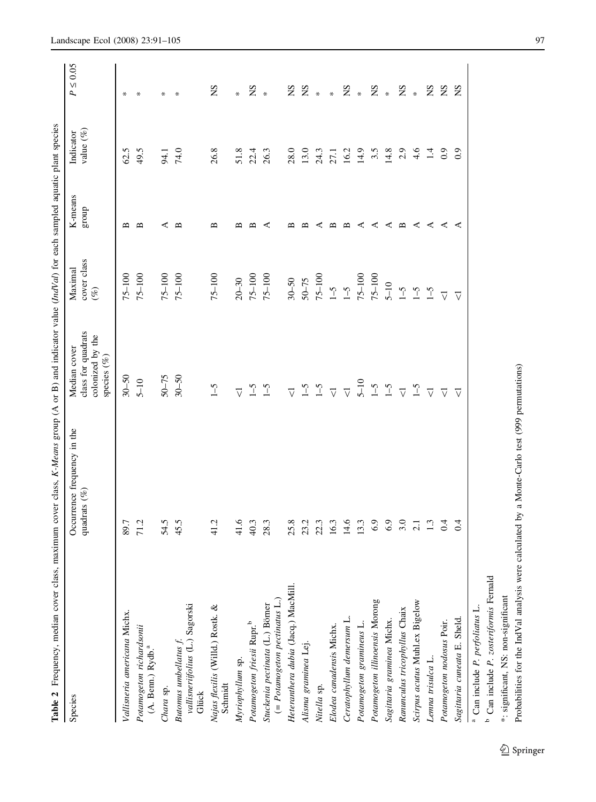<span id="page-6-0"></span>

| Table 2 Frequency, median cover class, maximum cover class, K-Means group (A or B) and indicator value (IndVal) for each sampled aquatic plant species |                                                |                                                                       |                                  |                  |                          |                  |
|--------------------------------------------------------------------------------------------------------------------------------------------------------|------------------------------------------------|-----------------------------------------------------------------------|----------------------------------|------------------|--------------------------|------------------|
| Species                                                                                                                                                | Occurrence frequency in the<br>quadrats $(\%)$ | class for quadrats<br>colonized by the<br>Median cover<br>species (%) | cover class<br>Maximal<br>$($ %) | K-means<br>group | value $(\%$<br>Indicator | $\leq 0.05$<br>P |
| Vallisneria americana Michx.                                                                                                                           | 89.7                                           | $30 - 50$                                                             | $75 - 100$                       | ≏                | 62.5                     | ⋇                |
| Potamogeton richardsonii<br>(A. Benn.) Rydb. <sup>a</sup>                                                                                              | 71.2                                           | $5 - 10$                                                              | $75 - 100$                       | ≃                | 49.5                     |                  |
| Chara sp.                                                                                                                                              | 54.5                                           | $50 - 75$                                                             | $75 - 100$                       |                  | 94.1                     | ⋇                |
| vallisneriifolius (L.) Sagorski<br>Glück<br>Butomus umbellatus f.                                                                                      | 45.5                                           | $30 - 50$                                                             | $75 - 100$                       | ≃                | 74.0                     |                  |
| Najas flexilis (Willd.) Rostk. &<br>Schmidt                                                                                                            | 41.2                                           | $\zeta - 1$                                                           | $75 - 100$                       | ≃                | 26.8                     | SN               |
| Myriophyllum sp.                                                                                                                                       | 41.6                                           | $\triangledown$                                                       | $20 - 30$                        | ≃                | 51.8                     | *                |
| Potamogeton friesii Rupr. <sup>b</sup>                                                                                                                 | 40.3                                           | $\zeta$ -1                                                            | $75 - 100$                       |                  | 22.4                     | SN               |
| $(= Poctanoseton~pecitinatus~L.)$<br>Stuckenia pectinata (L.) Börner                                                                                   | 28.3                                           | $\zeta$ -1                                                            | $75 - 100$                       |                  | 26.3                     | $\ast$           |
| Heteranthera dubia (Jacq.) MacMill.                                                                                                                    | 25.8                                           | $\triangledown$                                                       | $30 - 50$                        |                  | 28.0                     | SN               |
| Alisma graminea Lej.                                                                                                                                   | 23.2                                           | $\zeta$ <sup>-1</sup>                                                 | $50 - 75$                        |                  | 13.0                     | SN               |
| Nitella sp.                                                                                                                                            | 22.3                                           | $\sim$                                                                | $75 - 100$                       |                  | 24.3                     | $\ast$           |
| Elodea canadensis Michx.                                                                                                                               | 16.3                                           | $\overline{\vee}$                                                     | $\zeta\text{--}1$                | ≃                | 27.1                     | ¥                |
| Ceratophyllum demersum L.                                                                                                                              | 14.6                                           | $\triangledown$                                                       | $\zeta$ -1                       | ≃                | 16.2                     | SN               |
| Potamogeton gramineus L.                                                                                                                               | 13.3                                           | $5 - 10$                                                              | $75 - 100$                       | ⋖                | 14.9                     | $\ast$           |
| Potamogeton illinoensis Morong                                                                                                                         | 6.9                                            | $1 - 5$                                                               | $75 - 100$                       | c                | 3.5                      | SN               |
| Sagittaria graminea Michx.                                                                                                                             | 6.9                                            | $\sim$                                                                | $5 - 10$                         | c                | 14.8                     | $\ast$           |
| Ranunculus tricophyllus Chaix                                                                                                                          | 3.0                                            | $\overline{\vee}$                                                     | $\zeta$ -1                       | ≃                | 2.9                      | $_{\rm NS}$      |
| Scirpus acutus Muhl.ex Bigelow                                                                                                                         | $\overline{c}$                                 | $5-1$                                                                 | $\zeta$ -1                       | ⋖                | $\frac{4}{6}$            | $\ast$           |
| Lenna trisulca L.                                                                                                                                      | $\frac{3}{2}$                                  | $\overline{\vee}$                                                     | $1 - 5$                          | ⋖                | $\vec{a}$                | SN               |
| Potamogeton nodosus Poir.                                                                                                                              | $\overline{0.4}$                               | $\triangledown$                                                       | ▽                                | c                | 0.9                      | SN               |
| Sagittaria cuneata E. Sheld.                                                                                                                           | $\ddot{0}$ :                                   | $\triangledown$                                                       | ▽                                | ⋖                | 0.9                      | SN               |
|                                                                                                                                                        |                                                |                                                                       |                                  |                  |                          |                  |

<sup>a</sup> Can include P. perfoliatus L. Can include P. perfoliatus L.

 $\overline{b}$  Can include P. zosteriformis Femald Can include P. zosteriformis Fernald

\*: significant, NS: non-significant \*: significant, NS: non-significant

Probabilities for the IndVal analysis were calculated by a Monte-Carlo test (999 permutations) Probabilities for the IndVal analysis were calculated by a Monte-Carlo test (999 permutations)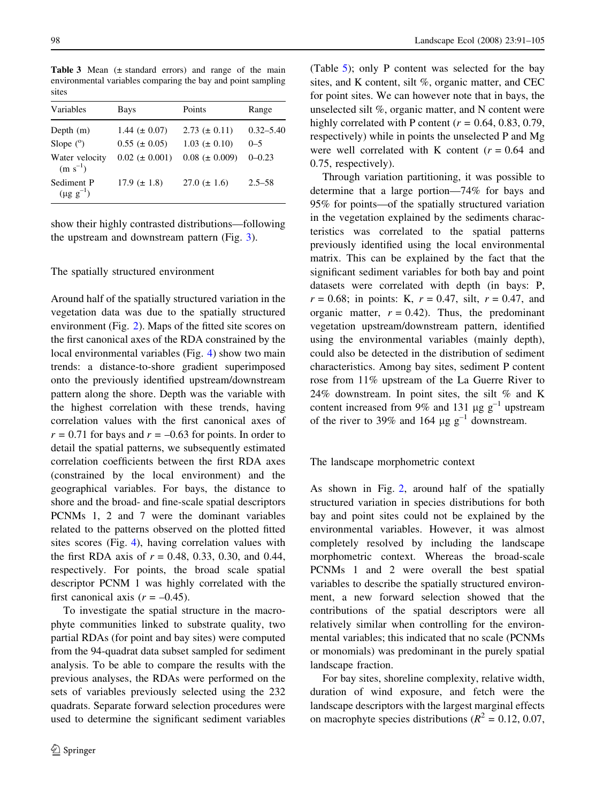<span id="page-7-0"></span>Table 3 Mean  $(\pm$  standard errors) and range of the main environmental variables comparing the bay and point sampling sites

| Variables                      | Bays                 | Points              | Range         |
|--------------------------------|----------------------|---------------------|---------------|
| Depth $(m)$                    | 1.44 ( $\pm$ 0.07)   | $2.73 \ (\pm 0.11)$ | $0.32 - 5.40$ |
| Slope $(^\circ)$               | $0.55 (\pm 0.05)$    | $1.03 \ (\pm 0.10)$ | $0 - 5$       |
| Water velocity<br>$(m s^{-1})$ | $0.02 \ (\pm 0.001)$ | $0.08 (\pm 0.009)$  | $0 - 0.23$    |
| Sediment P<br>$(\mu g g^{-1})$ | $17.9 \ (\pm 1.8)$   | $27.0 \ (\pm 1.6)$  | $2.5 - 58$    |

show their highly contrasted distributions—following the upstream and downstream pattern (Fig. [3\)](#page-9-0).

# The spatially structured environment

Around half of the spatially structured variation in the vegetation data was due to the spatially structured environment (Fig. [2](#page-9-0)). Maps of the fitted site scores on the first canonical axes of the RDA constrained by the local environmental variables (Fig. [4](#page-10-0)) show two main trends: a distance-to-shore gradient superimposed onto the previously identified upstream/downstream pattern along the shore. Depth was the variable with the highest correlation with these trends, having correlation values with the first canonical axes of  $r = 0.71$  for bays and  $r = -0.63$  for points. In order to detail the spatial patterns, we subsequently estimated correlation coefficients between the first RDA axes (constrained by the local environment) and the geographical variables. For bays, the distance to shore and the broad- and fine-scale spatial descriptors PCNMs 1, 2 and 7 were the dominant variables related to the patterns observed on the plotted fitted sites scores (Fig. [4](#page-10-0)), having correlation values with the first RDA axis of  $r = 0.48, 0.33, 0.30,$  and 0.44, respectively. For points, the broad scale spatial descriptor PCNM 1 was highly correlated with the first canonical axis  $(r = -0.45)$ .

To investigate the spatial structure in the macrophyte communities linked to substrate quality, two partial RDAs (for point and bay sites) were computed from the 94-quadrat data subset sampled for sediment analysis. To be able to compare the results with the previous analyses, the RDAs were performed on the sets of variables previously selected using the 232 quadrats. Separate forward selection procedures were used to determine the significant sediment variables (Table [5](#page-10-0)); only P content was selected for the bay sites, and K content, silt %, organic matter, and CEC for point sites. We can however note that in bays, the unselected silt %, organic matter, and N content were highly correlated with P content ( $r = 0.64, 0.83, 0.79$ , respectively) while in points the unselected P and Mg were well correlated with K content  $(r = 0.64$  and 0.75, respectively).

Through variation partitioning, it was possible to determine that a large portion—74% for bays and 95% for points—of the spatially structured variation in the vegetation explained by the sediments characteristics was correlated to the spatial patterns previously identified using the local environmental matrix. This can be explained by the fact that the significant sediment variables for both bay and point datasets were correlated with depth (in bays: P,  $r = 0.68$ ; in points: K,  $r = 0.47$ , silt,  $r = 0.47$ , and organic matter,  $r = 0.42$ ). Thus, the predominant vegetation upstream/downstream pattern, identified using the environmental variables (mainly depth), could also be detected in the distribution of sediment characteristics. Among bay sites, sediment P content rose from 11% upstream of the La Guerre River to 24% downstream. In point sites, the silt % and K content increased from 9% and 131  $\mu$ g g<sup>-1</sup> upstream of the river to 39% and 164  $\mu$ g g<sup>-1</sup> downstream.

# The landscape morphometric context

As shown in Fig. [2](#page-9-0), around half of the spatially structured variation in species distributions for both bay and point sites could not be explained by the environmental variables. However, it was almost completely resolved by including the landscape morphometric context. Whereas the broad-scale PCNMs 1 and 2 were overall the best spatial variables to describe the spatially structured environment, a new forward selection showed that the contributions of the spatial descriptors were all relatively similar when controlling for the environmental variables; this indicated that no scale (PCNMs or monomials) was predominant in the purely spatial landscape fraction.

For bay sites, shoreline complexity, relative width, duration of wind exposure, and fetch were the landscape descriptors with the largest marginal effects on macrophyte species distributions ( $R^2 = 0.12, 0.07$ ,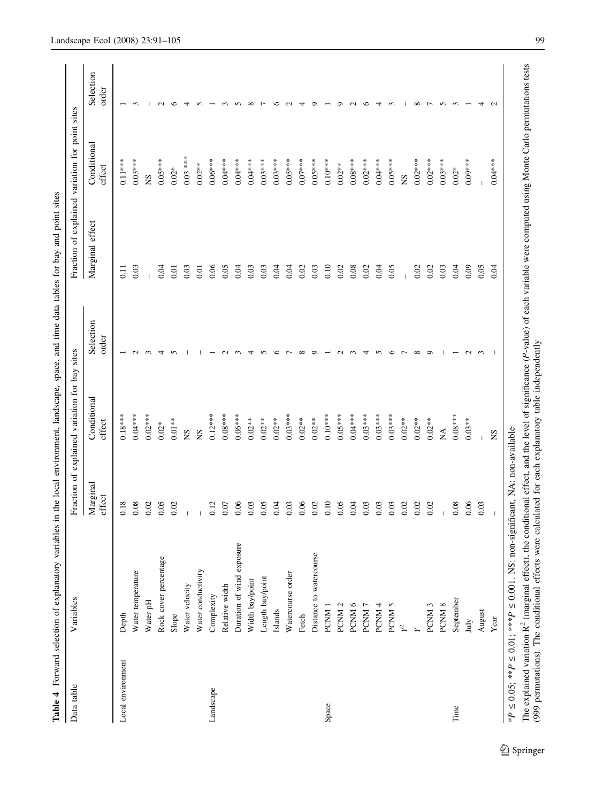| ı<br>ļ                  |
|-------------------------|
| ļ<br>I                  |
| $\ddot{\phantom{a}}$    |
| i                       |
| Ì                       |
| j<br>l<br>j             |
| j<br>i                  |
|                         |
|                         |
| $\ddot{\phantom{a}}$    |
| $\frac{1}{2}$           |
| ì                       |
|                         |
| i<br>í<br>Ĭ             |
|                         |
| ï<br>֠<br>¢             |
|                         |
| ì                       |
| j<br>l                  |
| $\frac{1}{3}$<br>j<br>į |
| $\overline{a}$          |
| $\ddot{ }$              |
|                         |
|                         |
| j<br>l<br>ļ             |
|                         |
| ١<br>E<br>ׅ֘֒           |

<span id="page-8-0"></span>

| Data table        | Variables                                                                                            |                    | Fraction of explained variation for bay sites |                    |                                                                                                                                     | Fraction of explained variation for point sites |                    |
|-------------------|------------------------------------------------------------------------------------------------------|--------------------|-----------------------------------------------|--------------------|-------------------------------------------------------------------------------------------------------------------------------------|-------------------------------------------------|--------------------|
|                   |                                                                                                      | Marginal<br>effect | Conditional<br>effect                         | Selection<br>order | Marginal effect                                                                                                                     | Conditional<br>effect                           | Selection<br>order |
| Local environment | Depth                                                                                                | 0.18               | $0.18***$                                     |                    | $\Xi$                                                                                                                               | $0.11***$                                       |                    |
|                   | Water temperature                                                                                    | 0.08               | $0.04***$                                     | $\mathbf{\sim}$    | 0.03                                                                                                                                | $0.03***$                                       | $\sim$             |
|                   | Water pH                                                                                             | 0.02               | $0.02***$                                     | 3                  |                                                                                                                                     | <b>SN</b>                                       |                    |
|                   | Rock cover percentage                                                                                | 0.05               | $0.02*$                                       | 4                  | 0.04                                                                                                                                | $0.05***$                                       | $\sim$             |
|                   | Slope                                                                                                | 0.02               | $0.01**$                                      | n                  | 0.01                                                                                                                                | $0.02*$                                         | ≌                  |
|                   | Water velocity                                                                                       |                    | <b>NS</b>                                     |                    | 0.03                                                                                                                                | $0.03$ ***                                      |                    |
|                   | Water conductivity                                                                                   |                    | XN                                            |                    | 0.01                                                                                                                                | $0.02***$                                       |                    |
| Landscape         | Complexity                                                                                           | 0.12               | $0.12***$                                     |                    | 0.06                                                                                                                                | $0.06***$                                       |                    |
|                   | Relative width                                                                                       | 0.07               | $0.08***$                                     |                    | 0.05                                                                                                                                | $0.04***$                                       |                    |
|                   | Duration of wind exposure                                                                            | 0.06               | $0.06***$                                     |                    | 0.04                                                                                                                                | $0.04***$                                       |                    |
|                   | Width bay/point                                                                                      | 0.03               | $0.02**$                                      |                    | 0.03                                                                                                                                | $0.04***$                                       | $\infty$           |
|                   | Length bay/point                                                                                     | 0.05               | $0.02**$                                      |                    | 0.03                                                                                                                                | $0.03***$                                       |                    |
|                   | Islands                                                                                              | 0.04               | $0.02**$                                      | ∘                  | 0.04                                                                                                                                | $0.03***$                                       | ≌                  |
|                   | Watercourse order                                                                                    | 0.03               | $0.03***$                                     |                    | 0.04                                                                                                                                | $0.05***$                                       |                    |
|                   | Fetch                                                                                                | 0.06               | $0.02**$                                      |                    | 0.02                                                                                                                                | $0.07***$                                       |                    |
|                   | Distance to watercourse                                                                              | 0.02               | $0.02***$                                     |                    | 0.03                                                                                                                                | $0.05***$                                       |                    |
| Space             | PCNM <sub>1</sub>                                                                                    | 0.10               | $0.10***$                                     |                    | 0.10                                                                                                                                | $0.10***$                                       |                    |
|                   | PCNM <sub>2</sub>                                                                                    | 0.05               | $0.05***$                                     |                    | 0.02                                                                                                                                | $0.02**$                                        | o                  |
|                   | PCNM <sub>6</sub>                                                                                    | 0.04               | $0.04***$                                     |                    | 0.08                                                                                                                                | $0.08***$                                       |                    |
|                   | PCNM <sub>7</sub>                                                                                    | 0.03               | $0.03***$                                     |                    | 0.02                                                                                                                                | $0.02***$                                       | ≌                  |
|                   | PCNM <sub>4</sub>                                                                                    | 0.03               | $0.03***$                                     |                    | 0.04                                                                                                                                | $0.04***$                                       |                    |
|                   | PCNM <sub>5</sub>                                                                                    | 0.03               | $0.03***$                                     | ७                  | 0.05                                                                                                                                | $0.05***$                                       | $\sim$             |
|                   | $\sim$                                                                                               | 0.02               | $0.02**$                                      |                    |                                                                                                                                     | SN                                              |                    |
|                   |                                                                                                      | 0.02               | $0.02**$                                      | $\infty$           | 0.02                                                                                                                                | $0.02***$                                       | $\infty$           |
|                   | PCNM <sub>3</sub>                                                                                    | 0.02               | $0.02**$                                      | $\circ$            | 0.02                                                                                                                                | $0.02***$                                       | $\overline{ }$     |
|                   | PCNM <sub>8</sub>                                                                                    |                    | $\stackrel{\triangle}{\scriptstyle\sim}$      |                    | 0.03                                                                                                                                | $0.03***$                                       | $\Omega$           |
| Time              | September                                                                                            | 0.08               | $0.08***$                                     |                    | 0.04                                                                                                                                | $0.02*$                                         | $\sim$             |
|                   | July                                                                                                 | 0.06               | $0.03**$                                      | $\mathcal{L}$      | 0.09                                                                                                                                | $0.09***$                                       |                    |
|                   | August                                                                                               | 0.03               |                                               | 3                  | 0.05                                                                                                                                |                                                 | ᆉ                  |
|                   | Year                                                                                                 | $\overline{1}$     | SN                                            | -1                 | 0.04                                                                                                                                | $0.04***$                                       | $\mathbf{C}$       |
|                   | *P $\leq$ 0.05; **P $\leq$ 0.01; ***P $\leq$ 0.001. NS: non-significant, NA: non-available           |                    |                                               |                    |                                                                                                                                     |                                                 |                    |
|                   | The explained variation $R^2$ (marginal effect), $\mathfrak t$                                       |                    |                                               |                    | the conditional effect, and the level of significance (P-value) of each variable were computed using Monte Carlo permutations tests |                                                 |                    |
|                   | (999 permutations). The conditional effects were calculated for each explanatory table independently |                    |                                               |                    |                                                                                                                                     |                                                 |                    |

 $2$  Springer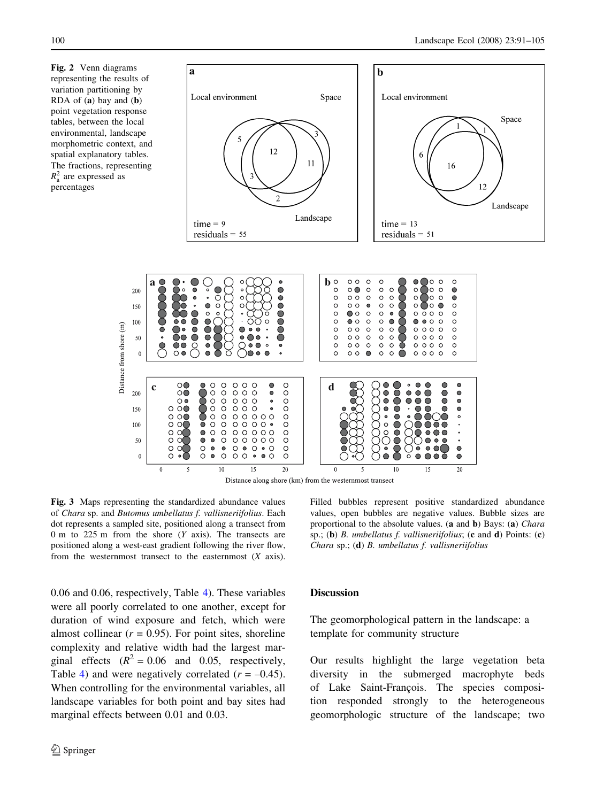<span id="page-9-0"></span>Fig. 2 Venn diagrams representing the results of variation partitioning by RDA of (a) bay and (b) point vegetation response tables, between the local environmental, landscape morphometric context, and spatial explanatory tables. The fractions, representing  $R_a^2$  are expressed as percentages

Distance from shore (m)



Fig. 3 Maps representing the standardized abundance values of Chara sp. and Butomus umbellatus f. vallisneriifolius. Each dot represents a sampled site, positioned along a transect from 0 m to 225 m from the shore  $(Y \text{ axis})$ . The transects are positioned along a west-east gradient following the river flow, from the westernmost transect to the easternmost  $(X \text{ axis})$ .

0.06 and 0.06, respectively, Table [4](#page-8-0)). These variables were all poorly correlated to one another, except for duration of wind exposure and fetch, which were almost collinear ( $r = 0.95$ ). For point sites, shoreline complexity and relative width had the largest marginal effects  $(R^2 = 0.06$  and 0.05, respectively, Table [4\)](#page-8-0) and were negatively correlated  $(r = -0.45)$ . When controlling for the environmental variables, all landscape variables for both point and bay sites had marginal effects between 0.01 and 0.03.

Filled bubbles represent positive standardized abundance values, open bubbles are negative values. Bubble sizes are proportional to the absolute values. (a and b) Bays: (a) Chara sp.; (b) B. umbellatus f. vallisneriifolius; (c and d) Points: (c) Chara sp.; (d) B. umbellatus f. vallisneriifolius

# **Discussion**

The geomorphological pattern in the landscape: a template for community structure

Our results highlight the large vegetation beta diversity in the submerged macrophyte beds of Lake Saint-François. The species composition responded strongly to the heterogeneous geomorphologic structure of the landscape; two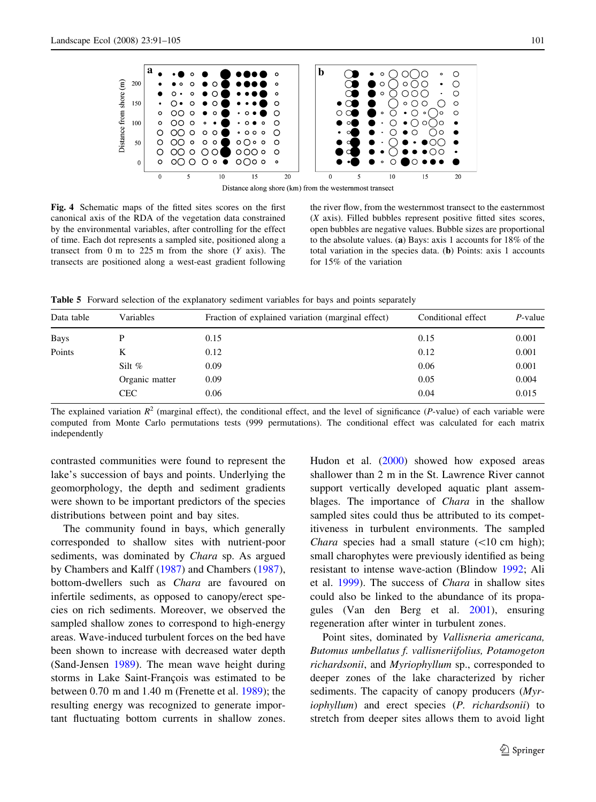<span id="page-10-0"></span>

Distance along shore (km) from the westernmost transect

Fig. 4 Schematic maps of the fitted sites scores on the first canonical axis of the RDA of the vegetation data constrained by the environmental variables, after controlling for the effect of time. Each dot represents a sampled site, positioned along a transect from 0 m to 225 m from the shore  $(Y \text{ axis})$ . The transects are positioned along a west-east gradient following

the river flow, from the westernmost transect to the easternmost (X axis). Filled bubbles represent positive fitted sites scores, open bubbles are negative values. Bubble sizes are proportional to the absolute values. (a) Bays: axis 1 accounts for 18% of the total variation in the species data. (b) Points: axis 1 accounts for 15% of the variation

Table 5 Forward selection of the explanatory sediment variables for bays and points separately

| Data table  | Variables      | Fraction of explained variation (marginal effect) | Conditional effect | $P$ -value |
|-------------|----------------|---------------------------------------------------|--------------------|------------|
| <b>Bays</b> | D              | 0.15                                              | 0.15               | 0.001      |
| Points      | K              | 0.12                                              | 0.12               | 0.001      |
|             | Silt $%$       | 0.09                                              | 0.06               | 0.001      |
|             | Organic matter | 0.09                                              | 0.05               | 0.004      |
|             | <b>CEC</b>     | 0.06                                              | 0.04               | 0.015      |
|             |                |                                                   |                    |            |

The explained variation  $R^2$  (marginal effect), the conditional effect, and the level of significance (P-value) of each variable were computed from Monte Carlo permutations tests (999 permutations). The conditional effect was calculated for each matrix independently

contrasted communities were found to represent the lake's succession of bays and points. Underlying the geomorphology, the depth and sediment gradients were shown to be important predictors of the species distributions between point and bay sites.

The community found in bays, which generally corresponded to shallow sites with nutrient-poor sediments, was dominated by *Chara* sp. As argued by Chambers and Kalff ([1987\)](#page-13-0) and Chambers [\(1987](#page-13-0)), bottom-dwellers such as Chara are favoured on infertile sediments, as opposed to canopy/erect species on rich sediments. Moreover, we observed the sampled shallow zones to correspond to high-energy areas. Wave-induced turbulent forces on the bed have been shown to increase with decreased water depth (Sand-Jensen [1989](#page-14-0)). The mean wave height during storms in Lake Saint-François was estimated to be between 0.70 m and 1.40 m (Frenette et al. [1989](#page-13-0)); the resulting energy was recognized to generate important fluctuating bottom currents in shallow zones.

Hudon et al. [\(2000](#page-13-0)) showed how exposed areas shallower than 2 m in the St. Lawrence River cannot support vertically developed aquatic plant assemblages. The importance of Chara in the shallow sampled sites could thus be attributed to its competitiveness in turbulent environments. The sampled *Chara* species had a small stature  $(\langle 10 \text{ cm high})$ ; small charophytes were previously identified as being resistant to intense wave-action (Blindow [1992;](#page-13-0) Ali et al. [1999](#page-12-0)). The success of Chara in shallow sites could also be linked to the abundance of its propagules (Van den Berg et al. [2001](#page-14-0)), ensuring regeneration after winter in turbulent zones.

Point sites, dominated by Vallisneria americana, Butomus umbellatus f. vallisneriifolius, Potamogeton richardsonii, and Myriophyllum sp., corresponded to deeper zones of the lake characterized by richer sediments. The capacity of canopy producers (Myriophyllum) and erect species (P. richardsonii) to stretch from deeper sites allows them to avoid light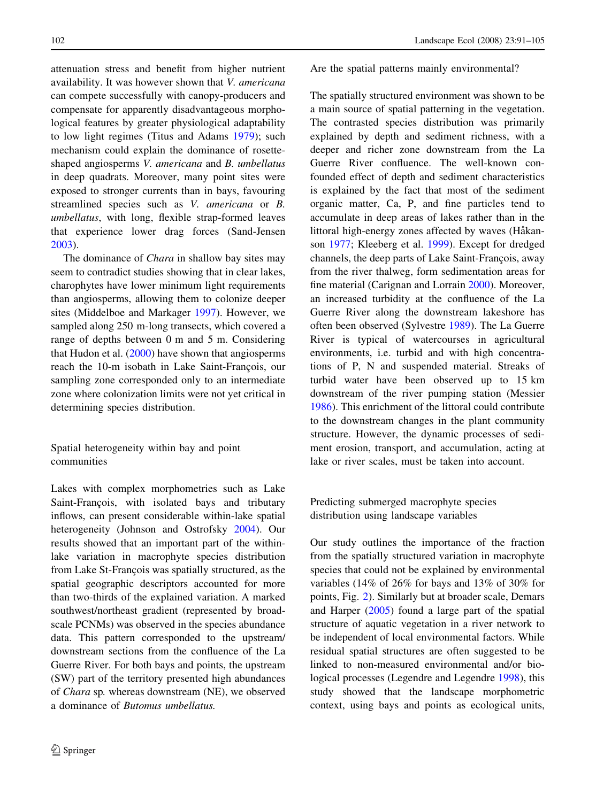attenuation stress and benefit from higher nutrient availability. It was however shown that V. americana can compete successfully with canopy-producers and compensate for apparently disadvantageous morphological features by greater physiological adaptability to low light regimes (Titus and Adams [1979\)](#page-14-0); such mechanism could explain the dominance of rosetteshaped angiosperms V. americana and B. umbellatus in deep quadrats. Moreover, many point sites were exposed to stronger currents than in bays, favouring streamlined species such as V. americana or B. umbellatus, with long, flexible strap-formed leaves that experience lower drag forces (Sand-Jensen [2003\)](#page-14-0).

The dominance of *Chara* in shallow bay sites may seem to contradict studies showing that in clear lakes, charophytes have lower minimum light requirements than angiosperms, allowing them to colonize deeper sites (Middelboe and Markager [1997\)](#page-14-0). However, we sampled along 250 m-long transects, which covered a range of depths between 0 m and 5 m. Considering that Hudon et al.  $(2000)$  $(2000)$  have shown that angiosperms reach the 10-m isobath in Lake Saint-François, our sampling zone corresponded only to an intermediate zone where colonization limits were not yet critical in determining species distribution.

Spatial heterogeneity within bay and point communities

Lakes with complex morphometries such as Lake Saint-François, with isolated bays and tributary inflows, can present considerable within-lake spatial heterogeneity (Johnson and Ostrofsky [2004\)](#page-13-0). Our results showed that an important part of the withinlake variation in macrophyte species distribution from Lake St-François was spatially structured, as the spatial geographic descriptors accounted for more than two-thirds of the explained variation. A marked southwest/northeast gradient (represented by broadscale PCNMs) was observed in the species abundance data. This pattern corresponded to the upstream/ downstream sections from the confluence of the La Guerre River. For both bays and points, the upstream (SW) part of the territory presented high abundances of Chara sp. whereas downstream (NE), we observed a dominance of Butomus umbellatus.

Are the spatial patterns mainly environmental?

The spatially structured environment was shown to be a main source of spatial patterning in the vegetation. The contrasted species distribution was primarily explained by depth and sediment richness, with a deeper and richer zone downstream from the La Guerre River confluence. The well-known confounded effect of depth and sediment characteristics is explained by the fact that most of the sediment organic matter, Ca, P, and fine particles tend to accumulate in deep areas of lakes rather than in the littoral high-energy zones affected by waves (Håkanson [1977](#page-13-0); Kleeberg et al. [1999](#page-13-0)). Except for dredged channels, the deep parts of Lake Saint-François, away from the river thalweg, form sedimentation areas for fine material (Carignan and Lorrain [2000](#page-13-0)). Moreover, an increased turbidity at the confluence of the La Guerre River along the downstream lakeshore has often been observed (Sylvestre [1989](#page-14-0)). The La Guerre River is typical of watercourses in agricultural environments, i.e. turbid and with high concentrations of P, N and suspended material. Streaks of turbid water have been observed up to 15 km downstream of the river pumping station (Messier [1986\)](#page-13-0). This enrichment of the littoral could contribute to the downstream changes in the plant community structure. However, the dynamic processes of sediment erosion, transport, and accumulation, acting at lake or river scales, must be taken into account.

Predicting submerged macrophyte species distribution using landscape variables

Our study outlines the importance of the fraction from the spatially structured variation in macrophyte species that could not be explained by environmental variables (14% of 26% for bays and 13% of 30% for points, Fig. [2](#page-9-0)). Similarly but at broader scale, Demars and Harper ([2005](#page-13-0)) found a large part of the spatial structure of aquatic vegetation in a river network to be independent of local environmental factors. While residual spatial structures are often suggested to be linked to non-measured environmental and/or biological processes (Legendre and Legendre [1998](#page-13-0)), this study showed that the landscape morphometric context, using bays and points as ecological units,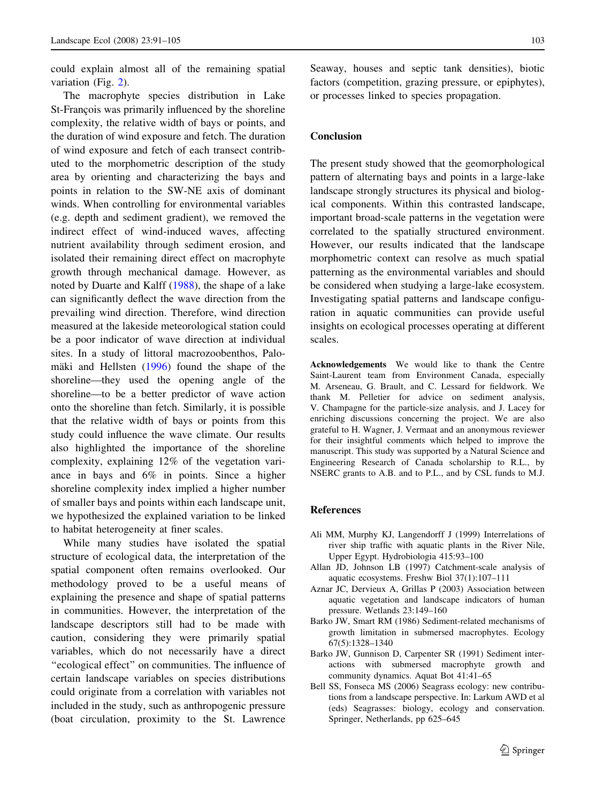<span id="page-12-0"></span>could explain almost all of the remaining spatial variation (Fig. [2](#page-9-0)).

The macrophyte species distribution in Lake St-François was primarily influenced by the shoreline complexity, the relative width of bays or points, and the duration of wind exposure and fetch. The duration of wind exposure and fetch of each transect contributed to the morphometric description of the study area by orienting and characterizing the bays and points in relation to the SW-NE axis of dominant winds. When controlling for environmental variables (e.g. depth and sediment gradient), we removed the indirect effect of wind-induced waves, affecting nutrient availability through sediment erosion, and isolated their remaining direct effect on macrophyte growth through mechanical damage. However, as noted by Duarte and Kalff ([1988](#page-13-0)), the shape of a lake can significantly deflect the wave direction from the prevailing wind direction. Therefore, wind direction measured at the lakeside meteorological station could be a poor indicator of wave direction at individual sites. In a study of littoral macrozoobenthos, Palomäki and Hellsten  $(1996)$  $(1996)$  found the shape of the shoreline—they used the opening angle of the shoreline—to be a better predictor of wave action onto the shoreline than fetch. Similarly, it is possible that the relative width of bays or points from this study could influence the wave climate. Our results also highlighted the importance of the shoreline complexity, explaining 12% of the vegetation variance in bays and 6% in points. Since a higher shoreline complexity index implied a higher number of smaller bays and points within each landscape unit, we hypothesized the explained variation to be linked to habitat heterogeneity at finer scales.

While many studies have isolated the spatial structure of ecological data, the interpretation of the spatial component often remains overlooked. Our methodology proved to be a useful means of explaining the presence and shape of spatial patterns in communities. However, the interpretation of the landscape descriptors still had to be made with caution, considering they were primarily spatial variables, which do not necessarily have a direct ''ecological effect'' on communities. The influence of certain landscape variables on species distributions could originate from a correlation with variables not included in the study, such as anthropogenic pressure (boat circulation, proximity to the St. Lawrence

Seaway, houses and septic tank densities), biotic factors (competition, grazing pressure, or epiphytes), or processes linked to species propagation.

#### Conclusion

The present study showed that the geomorphological pattern of alternating bays and points in a large-lake landscape strongly structures its physical and biological components. Within this contrasted landscape, important broad-scale patterns in the vegetation were correlated to the spatially structured environment. However, our results indicated that the landscape morphometric context can resolve as much spatial patterning as the environmental variables and should be considered when studying a large-lake ecosystem. Investigating spatial patterns and landscape configuration in aquatic communities can provide useful insights on ecological processes operating at different scales.

Acknowledgements We would like to thank the Centre Saint-Laurent team from Environment Canada, especially M. Arseneau, G. Brault, and C. Lessard for fieldwork. We thank M. Pelletier for advice on sediment analysis, V. Champagne for the particle-size analysis, and J. Lacey for enriching discussions concerning the project. We are also grateful to H. Wagner, J. Vermaat and an anonymous reviewer for their insightful comments which helped to improve the manuscript. This study was supported by a Natural Science and Engineering Research of Canada scholarship to R.L., by NSERC grants to A.B. and to P.L., and by CSL funds to M.J.

#### References

- Ali MM, Murphy KJ, Langendorff J (1999) Interrelations of river ship traffic with aquatic plants in the River Nile, Upper Egypt. Hydrobiologia 415:93–100
- Allan JD, Johnson LB (1997) Catchment-scale analysis of aquatic ecosystems. Freshw Biol 37(1):107–111
- Aznar JC, Dervieux A, Grillas P (2003) Association between aquatic vegetation and landscape indicators of human pressure. Wetlands 23:149–160
- Barko JW, Smart RM (1986) Sediment-related mechanisms of growth limitation in submersed macrophytes. Ecology 67(5):1328–1340
- Barko JW, Gunnison D, Carpenter SR (1991) Sediment interactions with submersed macrophyte growth and community dynamics. Aquat Bot 41:41–65
- Bell SS, Fonseca MS (2006) Seagrass ecology: new contributions from a landscape perspective. In: Larkum AWD et al (eds) Seagrasses: biology, ecology and conservation. Springer, Netherlands, pp 625–645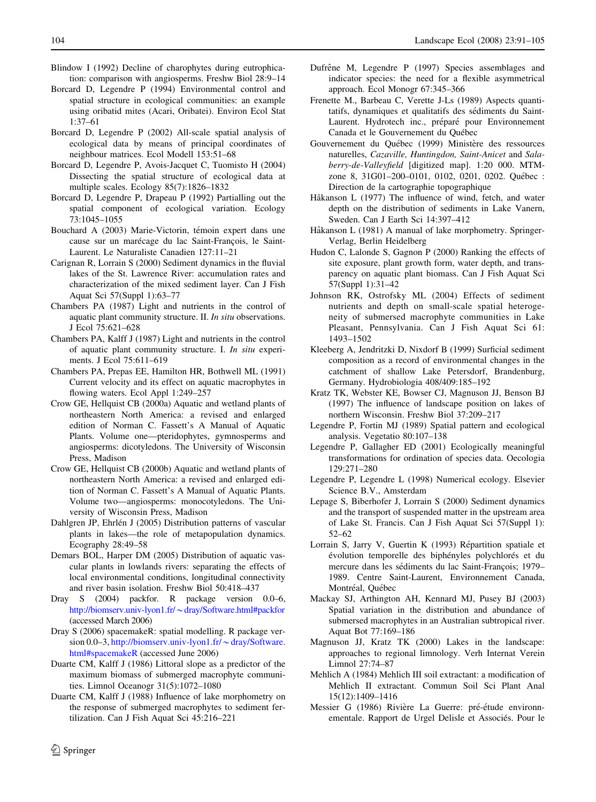- <span id="page-13-0"></span>Blindow I (1992) Decline of charophytes during eutrophication: comparison with angiosperms. Freshw Biol 28:9–14
- Borcard D, Legendre P (1994) Environmental control and spatial structure in ecological communities: an example using oribatid mites (Acari, Oribatei). Environ Ecol Stat 1:37–61
- Borcard D, Legendre P (2002) All-scale spatial analysis of ecological data by means of principal coordinates of neighbour matrices. Ecol Modell 153:51–68
- Borcard D, Legendre P, Avois-Jacquet C, Tuomisto H (2004) Dissecting the spatial structure of ecological data at multiple scales. Ecology 85(7):1826–1832
- Borcard D, Legendre P, Drapeau P (1992) Partialling out the spatial component of ecological variation. Ecology 73:1045–1055
- Bouchard A (2003) Marie-Victorin, témoin expert dans une cause sur un marécage du lac Saint-François, le Saint-Laurent. Le Naturaliste Canadien 127:11–21
- Carignan R, Lorrain S (2000) Sediment dynamics in the fluvial lakes of the St. Lawrence River: accumulation rates and characterization of the mixed sediment layer. Can J Fish Aquat Sci 57(Suppl 1):63–77
- Chambers PA (1987) Light and nutrients in the control of aquatic plant community structure. II. In situ observations. J Ecol 75:621–628
- Chambers PA, Kalff J (1987) Light and nutrients in the control of aquatic plant community structure. I. In situ experiments. J Ecol 75:611–619
- Chambers PA, Prepas EE, Hamilton HR, Bothwell ML (1991) Current velocity and its effect on aquatic macrophytes in flowing waters. Ecol Appl 1:249–257
- Crow GE, Hellquist CB (2000a) Aquatic and wetland plants of northeastern North America: a revised and enlarged edition of Norman C. Fassett's A Manual of Aquatic Plants. Volume one—pteridophytes, gymnosperms and angiosperms: dicotyledons. The University of Wisconsin Press, Madison
- Crow GE, Hellquist CB (2000b) Aquatic and wetland plants of northeastern North America: a revised and enlarged edition of Norman C. Fassett's A Manual of Aquatic Plants. Volume two—angiosperms: monocotyledons. The University of Wisconsin Press, Madison
- Dahlgren JP, Ehrlén J (2005) Distribution patterns of vascular plants in lakes—the role of metapopulation dynamics. Ecography 28:49–58
- Demars BOL, Harper DM (2005) Distribution of aquatic vascular plants in lowlands rivers: separating the effects of local environmental conditions, longitudinal connectivity and river basin isolation. Freshw Biol 50:418–437
- Dray S (2004) packfor. R package version 0.0–6, [http://biomserv.univ-lyon1.fr/](http://biomserv.univ-lyon1.fr/~dray/Software.html#packfor)~dray/Software.html#packfor (accessed March 2006)
- Dray S (2006) spacemakeR: spatial modelling. R package version 0.0–3, [http://biomserv.univ-lyon1.fr/](http://biomserv.univ-lyon1.fr/~dray/Software.html#spacemakeR) $\sim$ dray/Software. [html#spacemakeR](http://biomserv.univ-lyon1.fr/~dray/Software.html#spacemakeR) (accessed June 2006)
- Duarte CM, Kalff J (1986) Littoral slope as a predictor of the maximum biomass of submerged macrophyte communities. Limnol Oceanogr 31(5):1072–1080
- Duarte CM, Kalff J (1988) Influence of lake morphometry on the response of submerged macrophytes to sediment fertilization. Can J Fish Aquat Sci 45:216–221
- Dufrêne M, Legendre P (1997) Species assemblages and indicator species: the need for a flexible asymmetrical approach. Ecol Monogr 67:345–366
- Frenette M., Barbeau C, Verette J-Ls (1989) Aspects quantitatifs, dynamiques et qualitatifs des sédiments du Saint-Laurent. Hydrotech inc., préparé pour Environnement Canada et le Gouvernement du Québec
- Gouvernement du Québec (1999) Ministère des ressources naturelles, Cazaville, Huntingdon, Saint-Anicet and Salaberry-de-Valleyfield [digitized map]. 1:20 000. MTMzone 8, 31G01-200-0101, 0102, 0201, 0202. Québec : Direction de la cartographie topographique
- Håkanson L (1977) The influence of wind, fetch, and water depth on the distribution of sediments in Lake Vanern, Sweden. Can J Earth Sci 14:397–412
- Håkanson L (1981) A manual of lake morphometry. Springer-Verlag, Berlin Heidelberg
- Hudon C, Lalonde S, Gagnon P (2000) Ranking the effects of site exposure, plant growth form, water depth, and transparency on aquatic plant biomass. Can J Fish Aquat Sci 57(Suppl 1):31–42
- Johnson RK, Ostrofsky ML (2004) Effects of sediment nutrients and depth on small-scale spatial heterogeneity of submersed macrophyte communities in Lake Pleasant, Pennsylvania. Can J Fish Aquat Sci 61: 1493–1502
- Kleeberg A, Jendritzki D, Nixdorf B (1999) Surficial sediment composition as a record of environmental changes in the catchment of shallow Lake Petersdorf, Brandenburg, Germany. Hydrobiologia 408/409:185–192
- Kratz TK, Webster KE, Bowser CJ, Magnuson JJ, Benson BJ (1997) The influence of landscape position on lakes of northern Wisconsin. Freshw Biol 37:209–217
- Legendre P, Fortin MJ (1989) Spatial pattern and ecological analysis. Vegetatio 80:107–138
- Legendre P, Gallagher ED (2001) Ecologically meaningful transformations for ordination of species data. Oecologia 129:271–280
- Legendre P, Legendre L (1998) Numerical ecology. Elsevier Science B.V., Amsterdam
- Lepage S, Biberhofer J, Lorrain S (2000) Sediment dynamics and the transport of suspended matter in the upstream area of Lake St. Francis. Can J Fish Aquat Sci 57(Suppl 1): 52–62
- Lorrain S, Jarry V, Guertin K (1993) Répartition spatiale et évolution temporelle des biphényles polychlorés et du mercure dans les sédiments du lac Saint-François; 1979– 1989. Centre Saint-Laurent, Environnement Canada, Montréal, Québec
- Mackay SJ, Arthington AH, Kennard MJ, Pusey BJ (2003) Spatial variation in the distribution and abundance of submersed macrophytes in an Australian subtropical river. Aquat Bot 77:169–186
- Magnuson JJ, Kratz TK (2000) Lakes in the landscape: approaches to regional limnology. Verh Internat Verein Limnol 27:74–87
- Mehlich A (1984) Mehlich III soil extractant: a modification of Mehlich II extractant. Commun Soil Sci Plant Anal 15(12):1409–1416
- Messier G (1986) Rivière La Guerre: pré-étude environnementale. Rapport de Urgel Delisle et Associés. Pour le